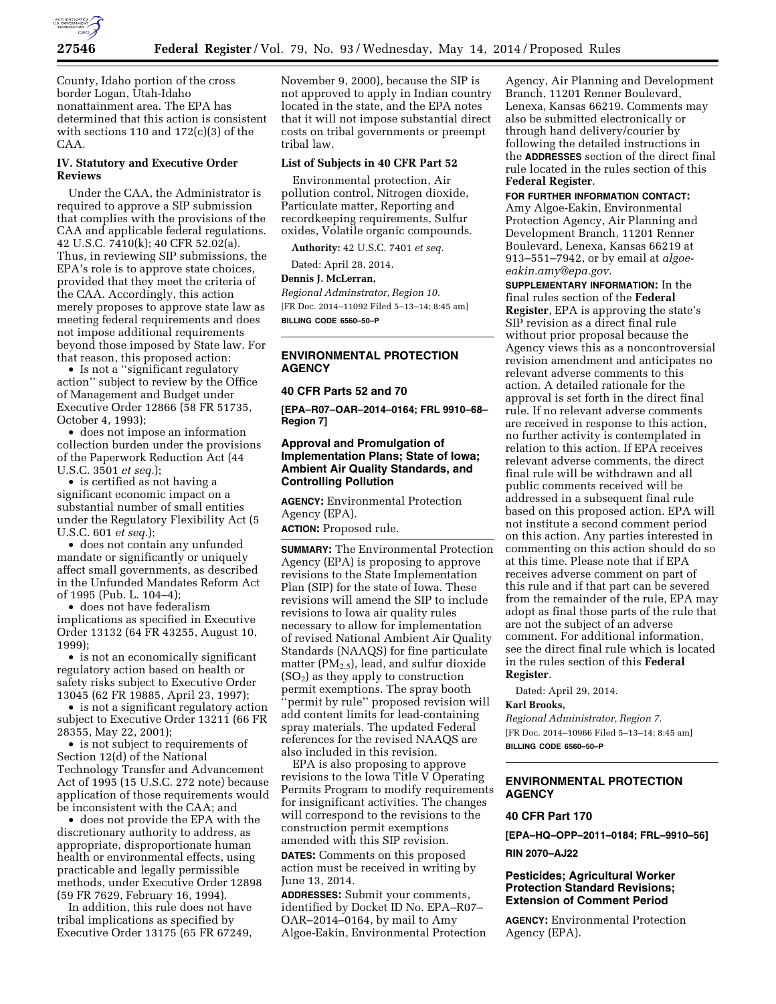

County, Idaho portion of the cross border Logan, Utah-Idaho nonattainment area. The EPA has determined that this action is consistent with sections 110 and 172(c)(3) of the CAA.

### **IV. Statutory and Executive Order Reviews**

Under the CAA, the Administrator is required to approve a SIP submission that complies with the provisions of the CAA and applicable federal regulations. 42 U.S.C. 7410(k); 40 CFR 52.02(a). Thus, in reviewing SIP submissions, the EPA's role is to approve state choices, provided that they meet the criteria of the CAA. Accordingly, this action merely proposes to approve state law as meeting federal requirements and does not impose additional requirements beyond those imposed by State law. For that reason, this proposed action:

• Is not a ''significant regulatory action'' subject to review by the Office of Management and Budget under Executive Order 12866 (58 FR 51735, October 4, 1993);

• does not impose an information collection burden under the provisions of the Paperwork Reduction Act (44 U.S.C. 3501 *et seq.*);

• is certified as not having a significant economic impact on a substantial number of small entities under the Regulatory Flexibility Act (5 U.S.C. 601 *et seq.*);

• does not contain any unfunded mandate or significantly or uniquely affect small governments, as described in the Unfunded Mandates Reform Act of 1995 (Pub. L. 104–4);

• does not have federalism implications as specified in Executive Order 13132 (64 FR 43255, August 10, 1999);

• is not an economically significant regulatory action based on health or safety risks subject to Executive Order 13045 (62 FR 19885, April 23, 1997);

• is not a significant regulatory action subject to Executive Order 13211 (66 FR 28355, May 22, 2001);

• is not subject to requirements of Section 12(d) of the National Technology Transfer and Advancement Act of 1995 (15 U.S.C. 272 note) because application of those requirements would be inconsistent with the CAA; and

• does not provide the EPA with the discretionary authority to address, as appropriate, disproportionate human health or environmental effects, using practicable and legally permissible methods, under Executive Order 12898 (59 FR 7629, February 16, 1994).

In addition, this rule does not have tribal implications as specified by Executive Order 13175 (65 FR 67249,

November 9, 2000), because the SIP is not approved to apply in Indian country located in the state, and the EPA notes that it will not impose substantial direct costs on tribal governments or preempt tribal law.

#### **List of Subjects in 40 CFR Part 52**

Environmental protection, Air pollution control, Nitrogen dioxide, Particulate matter, Reporting and recordkeeping requirements, Sulfur oxides, Volatile organic compounds.

**Authority:** 42 U.S.C. 7401 *et seq.* 

Dated: April 28, 2014.

## **Dennis J. McLerran,**

*Regional Adminstrator, Region 10.*  [FR Doc. 2014–11092 Filed 5–13–14; 8:45 am] **BILLING CODE 6560–50–P** 

## **ENVIRONMENTAL PROTECTION AGENCY**

## **40 CFR Parts 52 and 70**

**[EPA–R07–OAR–2014–0164; FRL 9910–68– Region 7]** 

## **Approval and Promulgation of Implementation Plans; State of Iowa; Ambient Air Quality Standards, and Controlling Pollution**

**AGENCY:** Environmental Protection Agency (EPA).

**ACTION:** Proposed rule.

**SUMMARY:** The Environmental Protection Agency (EPA) is proposing to approve revisions to the State Implementation Plan (SIP) for the state of Iowa. These revisions will amend the SIP to include revisions to Iowa air quality rules necessary to allow for implementation of revised National Ambient Air Quality Standards (NAAQS) for fine particulate matter ( $PM<sub>2.5</sub>$ ), lead, and sulfur dioxide  $(SO<sub>2</sub>)$  as they apply to construction permit exemptions. The spray booth 'permit by rule'' proposed revision will add content limits for lead-containing spray materials. The updated Federal references for the revised NAAQS are also included in this revision.

EPA is also proposing to approve revisions to the Iowa Title V Operating Permits Program to modify requirements for insignificant activities. The changes will correspond to the revisions to the construction permit exemptions amended with this SIP revision. **DATES:** Comments on this proposed action must be received in writing by June 13, 2014.

**ADDRESSES:** Submit your comments, identified by Docket ID No. EPA–R07– OAR–2014–0164, by mail to Amy Algoe-Eakin, Environmental Protection

Agency, Air Planning and Development Branch, 11201 Renner Boulevard, Lenexa, Kansas 66219. Comments may also be submitted electronically or through hand delivery/courier by following the detailed instructions in the **ADDRESSES** section of the direct final rule located in the rules section of this **Federal Register**.

**FOR FURTHER INFORMATION CONTACT:**  Amy Algoe-Eakin, Environmental Protection Agency, Air Planning and Development Branch, 11201 Renner Boulevard, Lenexa, Kansas 66219 at 913–551–7942, or by email at *[algoe](mailto:algoe-eakin.amy@epa.gov)[eakin.amy@epa.gov.](mailto:algoe-eakin.amy@epa.gov)* 

**SUPPLEMENTARY INFORMATION:** In the final rules section of the **Federal Register**, EPA is approving the state's SIP revision as a direct final rule without prior proposal because the Agency views this as a noncontroversial revision amendment and anticipates no relevant adverse comments to this action. A detailed rationale for the approval is set forth in the direct final rule. If no relevant adverse comments are received in response to this action, no further activity is contemplated in relation to this action. If EPA receives relevant adverse comments, the direct final rule will be withdrawn and all public comments received will be addressed in a subsequent final rule based on this proposed action. EPA will not institute a second comment period on this action. Any parties interested in commenting on this action should do so at this time. Please note that if EPA receives adverse comment on part of this rule and if that part can be severed from the remainder of the rule, EPA may adopt as final those parts of the rule that are not the subject of an adverse comment. For additional information, see the direct final rule which is located in the rules section of this **Federal Register**.

Dated: April 29, 2014.

# **Karl Brooks,**

*Regional Administrator, Region 7.*  [FR Doc. 2014–10966 Filed 5–13–14; 8:45 am] **BILLING CODE 6560–50–P** 

## **ENVIRONMENTAL PROTECTION AGENCY**

#### **40 CFR Part 170**

**[EPA–HQ–OPP–2011–0184; FRL–9910–56] RIN 2070–AJ22** 

## **Pesticides; Agricultural Worker Protection Standard Revisions; Extension of Comment Period**

**AGENCY:** Environmental Protection Agency (EPA).